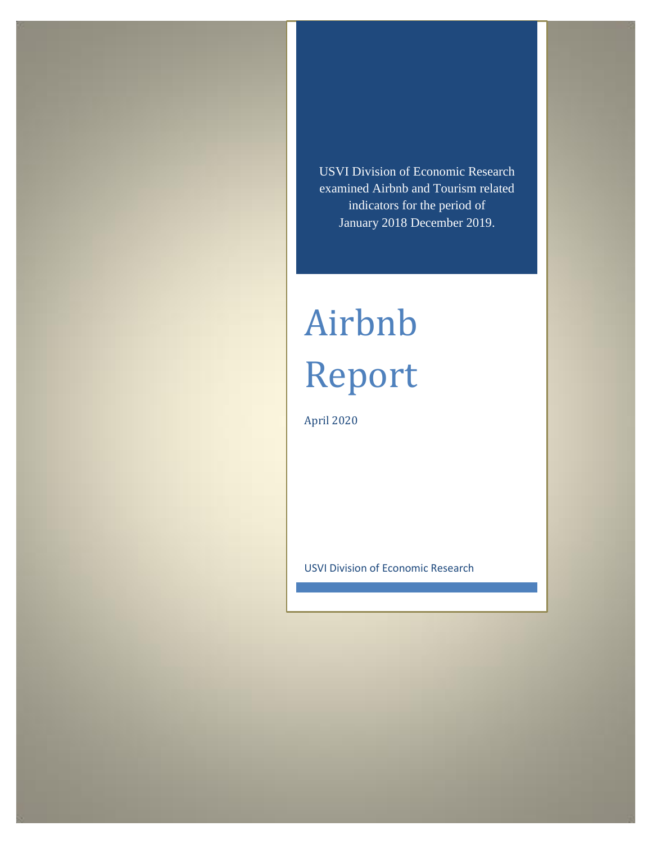USVI Division of Economic Research examined Airbnb and Tourism related indicators for the period of January 2018 December 2019.

# Airbnb Report

April 2020

USVI Division of Economic Research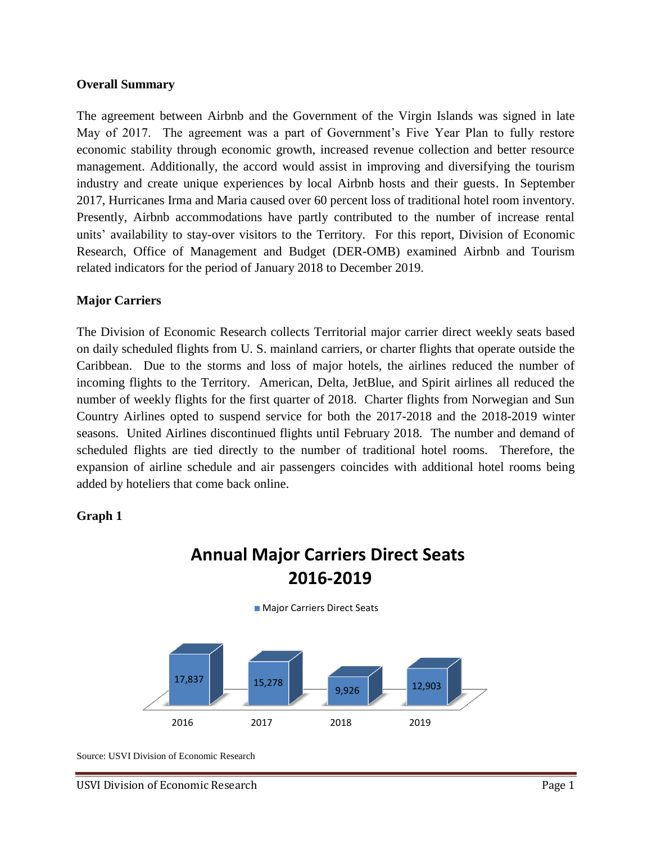#### **Overall Summary**

The agreement between Airbnb and the Government of the Virgin Islands was signed in late May of 2017. The agreement was a part of Government's Five Year Plan to fully restore economic stability through economic growth, increased revenue collection and better resource management. Additionally, the accord would assist in improving and diversifying the tourism industry and create unique experiences by local Airbnb hosts and their guests. In September 2017, Hurricanes Irma and Maria caused over 60 percent loss of traditional hotel room inventory. Presently, Airbnb accommodations have partly contributed to the number of increase rental units' availability to stay-over visitors to the Territory. For this report, Division of Economic Research, Office of Management and Budget (DER-OMB) examined Airbnb and Tourism related indicators for the period of January 2018 to December 2019.

#### **Major Carriers**

The Division of Economic Research collects Territorial major carrier direct weekly seats based on daily scheduled flights from U. S. mainland carriers, or charter flights that operate outside the Caribbean. Due to the storms and loss of major hotels, the airlines reduced the number of incoming flights to the Territory. American, Delta, JetBlue, and Spirit airlines all reduced the number of weekly flights for the first quarter of 2018. Charter flights from Norwegian and Sun Country Airlines opted to suspend service for both the 2017-2018 and the 2018-2019 winter seasons. United Airlines discontinued flights until February 2018. The number and demand of scheduled flights are tied directly to the number of traditional hotel rooms. Therefore, the expansion of airline schedule and air passengers coincides with additional hotel rooms being added by hoteliers that come back online.

#### **Graph 1**

# **Annual Major Carriers Direct Seats 2016-2019**

**Major Carriers Direct Seats** 



Source: USVI Division of Economic Research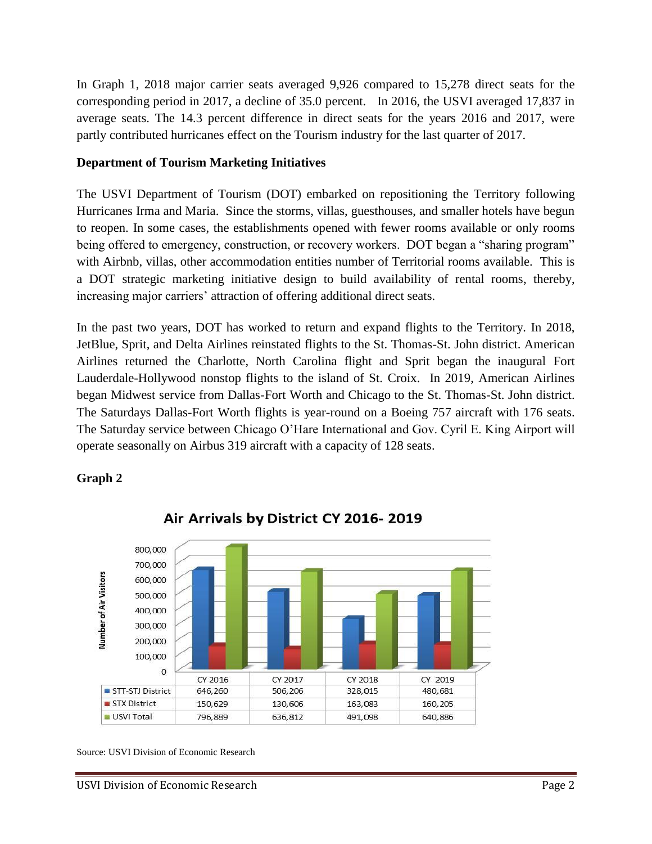In Graph 1, 2018 major carrier seats averaged 9,926 compared to 15,278 direct seats for the corresponding period in 2017, a decline of 35.0 percent. In 2016, the USVI averaged 17,837 in average seats. The 14.3 percent difference in direct seats for the years 2016 and 2017, were partly contributed hurricanes effect on the Tourism industry for the last quarter of 2017.

#### **Department of Tourism Marketing Initiatives**

The USVI Department of Tourism (DOT) embarked on repositioning the Territory following Hurricanes Irma and Maria. Since the storms, villas, guesthouses, and smaller hotels have begun to reopen. In some cases, the establishments opened with fewer rooms available or only rooms being offered to emergency, construction, or recovery workers. DOT began a "sharing program" with Airbnb, villas, other accommodation entities number of Territorial rooms available. This is a DOT strategic marketing initiative design to build availability of rental rooms, thereby, increasing major carriers' attraction of offering additional direct seats.

In the past two years, DOT has worked to return and expand flights to the Territory. In 2018, JetBlue, Sprit, and Delta Airlines reinstated flights to the St. Thomas-St. John district. American Airlines returned the Charlotte, North Carolina flight and Sprit began the inaugural Fort Lauderdale-Hollywood nonstop flights to the island of St. Croix. In 2019, American Airlines began Midwest service from Dallas-Fort Worth and Chicago to the St. Thomas-St. John district. The Saturdays Dallas-Fort Worth flights is year-round on a Boeing 757 aircraft with 176 seats. The Saturday service between Chicago O'Hare International and Gov. Cyril E. King Airport will operate seasonally on Airbus 319 aircraft with a capacity of 128 seats.

## **Graph 2**



Air Arrivals by District CY 2016-2019

Source: USVI Division of Economic Research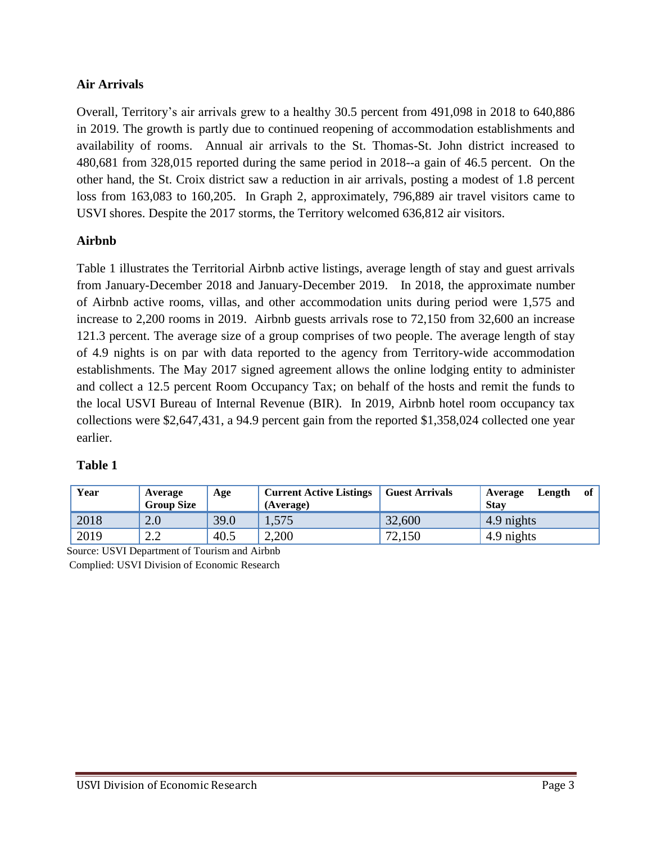### **Air Arrivals**

Overall, Territory's air arrivals grew to a healthy 30.5 percent from 491,098 in 2018 to 640,886 in 2019. The growth is partly due to continued reopening of accommodation establishments and availability of rooms. Annual air arrivals to the St. Thomas-St. John district increased to 480,681 from 328,015 reported during the same period in 2018--a gain of 46.5 percent. On the other hand, the St. Croix district saw a reduction in air arrivals, posting a modest of 1.8 percent loss from 163,083 to 160,205. In Graph 2, approximately, 796,889 air travel visitors came to USVI shores. Despite the 2017 storms, the Territory welcomed 636,812 air visitors.

#### **Airbnb**

Table 1 illustrates the Territorial Airbnb active listings, average length of stay and guest arrivals from January-December 2018 and January-December 2019. In 2018, the approximate number of Airbnb active rooms, villas, and other accommodation units during period were 1,575 and increase to 2,200 rooms in 2019. Airbnb guests arrivals rose to 72,150 from 32,600 an increase 121.3 percent. The average size of a group comprises of two people. The average length of stay of 4.9 nights is on par with data reported to the agency from Territory-wide accommodation establishments. The May 2017 signed agreement allows the online lodging entity to administer and collect a 12.5 percent Room Occupancy Tax; on behalf of the hosts and remit the funds to the local USVI Bureau of Internal Revenue (BIR). In 2019, Airbnb hotel room occupancy tax collections were \$2,647,431, a 94.9 percent gain from the reported \$1,358,024 collected one year earlier.

#### **Table 1**

| Year | Average<br><b>Group Size</b> | Age  | <b>Current Active Listings</b><br>(Average) | <b>Guest Arrivals</b> | of<br>Length<br>Average<br><b>Stay</b> |
|------|------------------------------|------|---------------------------------------------|-----------------------|----------------------------------------|
| 2018 | 2.0                          | 39.0 | 1,575                                       | 32,600                | 4.9 nights                             |
| 2019 | $\cap$<br>2.Z                | 40.5 | 2,200                                       | 72,150                | 4.9 nights                             |

Source: USVI Department of Tourism and Airbnb Complied: USVI Division of Economic Research